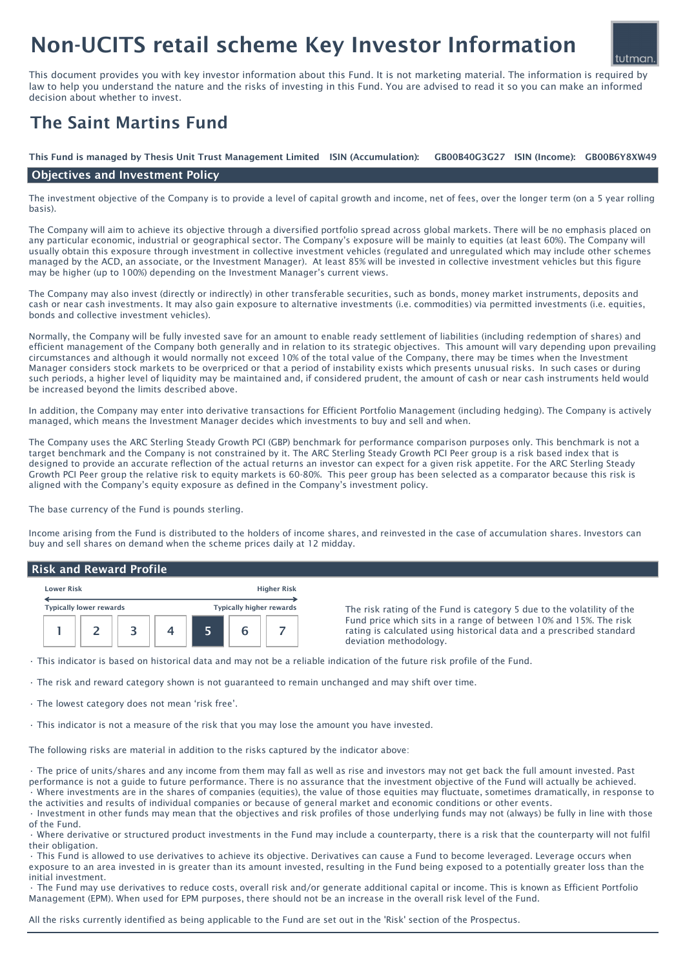# Non-UCITS retail scheme Key Investor Information



This document provides you with key investor information about this Fund. It is not marketing material. The information is required by law to help you understand the nature and the risks of investing in this Fund. You are advised to read it so you can make an informed decision about whether to invest.

## The Saint Martins Fund

GB00B40G3G27 ISIN (Income): GB00B6Y8XW49 This Fund is managed by Thesis Unit Trust Management Limited ISIN (Accumulation):

#### Objectives and Investment Policy

The investment objective of the Company is to provide a level of capital growth and income, net of fees, over the longer term (on a 5 year rolling basis).

The Company will aim to achieve its objective through a diversified portfolio spread across global markets. There will be no emphasis placed on any particular economic, industrial or geographical sector. The Company's exposure will be mainly to equities (at least 60%). The Company will usually obtain this exposure through investment in collective investment vehicles (regulated and unregulated which may include other schemes managed by the ACD, an associate, or the Investment Manager). At least 85% will be invested in collective investment vehicles but this figure may be higher (up to 100%) depending on the Investment Manager's current views.

The Company may also invest (directly or indirectly) in other transferable securities, such as bonds, money market instruments, deposits and cash or near cash investments. It may also gain exposure to alternative investments (i.e. commodities) via permitted investments (i.e. equities, bonds and collective investment vehicles).

Normally, the Company will be fully invested save for an amount to enable ready settlement of liabilities (including redemption of shares) and efficient management of the Company both generally and in relation to its strategic objectives. This amount will vary depending upon prevailing circumstances and although it would normally not exceed 10% of the total value of the Company, there may be times when the Investment Manager considers stock markets to be overpriced or that a period of instability exists which presents unusual risks. In such cases or during such periods, a higher level of liquidity may be maintained and, if considered prudent, the amount of cash or near cash instruments held would be increased beyond the limits described above.

In addition, the Company may enter into derivative transactions for Efficient Portfolio Management (including hedging). The Company is actively managed, which means the Investment Manager decides which investments to buy and sell and when.

The Company uses the ARC Sterling Steady Growth PCI (GBP) benchmark for performance comparison purposes only. This benchmark is not a target benchmark and the Company is not constrained by it. The ARC Sterling Steady Growth PCI Peer group is a risk based index that is designed to provide an accurate reflection of the actual returns an investor can expect for a given risk appetite. For the ARC Sterling Steady Growth PCI Peer group the relative risk to equity markets is 60-80%. This peer group has been selected as a comparator because this risk is aligned with the Company's equity exposure as defined in the Company's investment policy.

The base currency of the Fund is pounds sterling.

Income arising from the Fund is distributed to the holders of income shares, and reinvested in the case of accumulation shares. Investors can buy and sell shares on demand when the scheme prices daily at 12 midday.

#### Risk and Reward Profile

| <b>Lower Risk</b>              |  |  |                                 |  | <b>Higher Risk</b> |  |
|--------------------------------|--|--|---------------------------------|--|--------------------|--|
| <b>Typically lower rewards</b> |  |  | <b>Typically higher rewards</b> |  |                    |  |
|                                |  |  |                                 |  |                    |  |
|                                |  |  |                                 |  |                    |  |

The risk rating of the Fund is category 5 due to the volatility of the Fund price which sits in a range of between 10% and 15%. The risk rating is calculated using historical data and a prescribed standard deviation methodology.

• This indicator is based on historical data and may not be a reliable indication of the future risk profile of the Fund.

• The risk and reward category shown is not guaranteed to remain unchanged and may shift over time.

• The lowest category does not mean 'risk free'.

• This indicator is not a measure of the risk that you may lose the amount you have invested.

The following risks are material in addition to the risks captured by the indicator above:

• The price of units/shares and any income from them may fall as well as rise and investors may not get back the full amount invested. Past performance is not a guide to future performance. There is no assurance that the investment objective of the Fund will actually be achieved. • Where investments are in the shares of companies (equities), the value of those equities may fluctuate, sometimes dramatically, in response to the activities and results of individual companies or because of general market and economic conditions or other events.

• Investment in other funds may mean that the objectives and risk profiles of those underlying funds may not (always) be fully in line with those of the Fund.

• Where derivative or structured product investments in the Fund may include a counterparty, there is a risk that the counterparty will not fulfil their obligation.

• This Fund is allowed to use derivatives to achieve its objective. Derivatives can cause a Fund to become leveraged. Leverage occurs when exposure to an area invested in is greater than its amount invested, resulting in the Fund being exposed to a potentially greater loss than the initial investment.

• The Fund may use derivatives to reduce costs, overall risk and/or generate additional capital or income. This is known as Efficient Portfolio Management (EPM). When used for EPM purposes, there should not be an increase in the overall risk level of the Fund.

All the risks currently identified as being applicable to the Fund are set out in the 'Risk' section of the Prospectus.